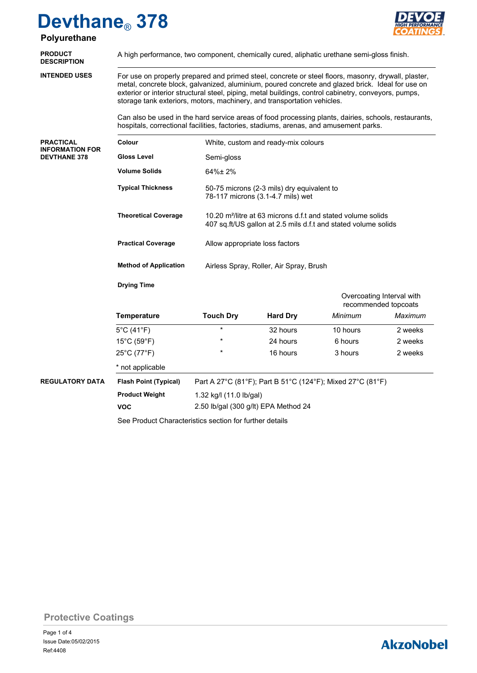# **Devthane**® **378 Polyurethane**



| <u>Fulyul culalic</u>                         |                                                                                                                                                                                                                                                                                                                                                                                                                                                                                          |                                                                                                                                            |                 |          |         |  |  |  |
|-----------------------------------------------|------------------------------------------------------------------------------------------------------------------------------------------------------------------------------------------------------------------------------------------------------------------------------------------------------------------------------------------------------------------------------------------------------------------------------------------------------------------------------------------|--------------------------------------------------------------------------------------------------------------------------------------------|-----------------|----------|---------|--|--|--|
| <b>PRODUCT</b><br><b>DESCRIPTION</b>          | A high performance, two component, chemically cured, aliphatic urethane semi-gloss finish.<br>For use on properly prepared and primed steel, concrete or steel floors, masonry, drywall, plaster,<br>metal, concrete block, galvanized, aluminium, poured concrete and glazed brick. Ideal for use on<br>exterior or interior structural steel, piping, metal buildings, control cabinetry, conveyors, pumps,<br>storage tank exteriors, motors, machinery, and transportation vehicles. |                                                                                                                                            |                 |          |         |  |  |  |
| <b>INTENDED USES</b>                          |                                                                                                                                                                                                                                                                                                                                                                                                                                                                                          |                                                                                                                                            |                 |          |         |  |  |  |
|                                               | Can also be used in the hard service areas of food processing plants, dairies, schools, restaurants,<br>hospitals, correctional facilities, factories, stadiums, arenas, and amusement parks.                                                                                                                                                                                                                                                                                            |                                                                                                                                            |                 |          |         |  |  |  |
| <b>PRACTICAL</b>                              | Colour                                                                                                                                                                                                                                                                                                                                                                                                                                                                                   | White, custom and ready-mix colours                                                                                                        |                 |          |         |  |  |  |
| <b>INFORMATION FOR</b><br><b>DEVTHANE 378</b> | <b>Gloss Level</b>                                                                                                                                                                                                                                                                                                                                                                                                                                                                       | Semi-gloss                                                                                                                                 |                 |          |         |  |  |  |
|                                               | <b>Volume Solids</b>                                                                                                                                                                                                                                                                                                                                                                                                                                                                     | 64%±2%                                                                                                                                     |                 |          |         |  |  |  |
|                                               | <b>Typical Thickness</b>                                                                                                                                                                                                                                                                                                                                                                                                                                                                 | 50-75 microns (2-3 mils) dry equivalent to<br>78-117 microns (3.1-4.7 mils) wet                                                            |                 |          |         |  |  |  |
|                                               | <b>Theoretical Coverage</b>                                                                                                                                                                                                                                                                                                                                                                                                                                                              | 10.20 m <sup>2</sup> /litre at 63 microns d.f.t and stated volume solids<br>407 sq.ft/US gallon at 2.5 mils d.f.t and stated volume solids |                 |          |         |  |  |  |
|                                               | <b>Practical Coverage</b>                                                                                                                                                                                                                                                                                                                                                                                                                                                                | Allow appropriate loss factors                                                                                                             |                 |          |         |  |  |  |
|                                               | <b>Method of Application</b>                                                                                                                                                                                                                                                                                                                                                                                                                                                             | Airless Spray, Roller, Air Spray, Brush                                                                                                    |                 |          |         |  |  |  |
|                                               | <b>Drying Time</b>                                                                                                                                                                                                                                                                                                                                                                                                                                                                       |                                                                                                                                            |                 |          |         |  |  |  |
|                                               |                                                                                                                                                                                                                                                                                                                                                                                                                                                                                          | Overcoating Interval with<br>recommended topcoats                                                                                          |                 |          |         |  |  |  |
|                                               | <b>Temperature</b>                                                                                                                                                                                                                                                                                                                                                                                                                                                                       | <b>Touch Dry</b>                                                                                                                           | <b>Hard Dry</b> | Minimum  | Maximum |  |  |  |
|                                               | $5^{\circ}$ C (41 $^{\circ}$ F)                                                                                                                                                                                                                                                                                                                                                                                                                                                          | $\star$                                                                                                                                    | 32 hours        | 10 hours | 2 weeks |  |  |  |
|                                               | 15°C (59°F)                                                                                                                                                                                                                                                                                                                                                                                                                                                                              |                                                                                                                                            | 24 hours        | 6 hours  | 2 weeks |  |  |  |
|                                               | 25°C (77°F)                                                                                                                                                                                                                                                                                                                                                                                                                                                                              |                                                                                                                                            | 16 hours        | 3 hours  | 2 weeks |  |  |  |
|                                               | * not applicable                                                                                                                                                                                                                                                                                                                                                                                                                                                                         |                                                                                                                                            |                 |          |         |  |  |  |
| <b>REGULATORY DATA</b>                        | <b>Flash Point (Typical)</b><br>Part A 27°C (81°F); Part B 51°C (124°F); Mixed 27°C (81°F)                                                                                                                                                                                                                                                                                                                                                                                               |                                                                                                                                            |                 |          |         |  |  |  |
|                                               | <b>Product Weight</b>                                                                                                                                                                                                                                                                                                                                                                                                                                                                    | 1.32 kg/l (11.0 lb/gal)                                                                                                                    |                 |          |         |  |  |  |
|                                               | <b>VOC</b>                                                                                                                                                                                                                                                                                                                                                                                                                                                                               | 2.50 lb/gal (300 g/lt) EPA Method 24                                                                                                       |                 |          |         |  |  |  |
|                                               | See Product Characteristics section for further details                                                                                                                                                                                                                                                                                                                                                                                                                                  |                                                                                                                                            |                 |          |         |  |  |  |

**Protective Coatings**

# **AkzoNobel**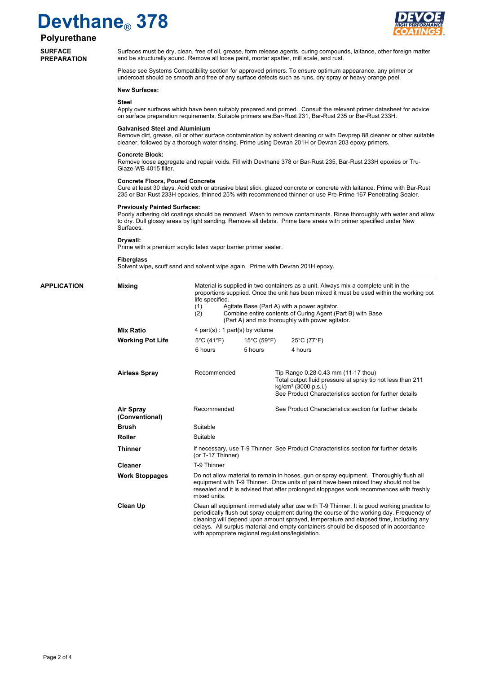# **Devthane**® **378**



## **Polyurethane**

### **SURFACE PREPARATION**

**APPLICATION** 

Surfaces must be dry, clean, free of oil, grease, form release agents, curing compounds, laitance, other foreign matter and be structurally sound. Remove all loose paint, mortar spatter, mill scale, and rust.

Please see Systems Compatibility section for approved primers. To ensure optimum appearance, any primer or undercoat should be smooth and free of any surface defects such as runs, dry spray or heavy orange peel.

### **New Surfaces:**

#### **Steel**

Apply over surfaces which have been suitably prepared and primed. Consult the relevant primer datasheet for advice on surface preparation requirements. Suitable primers are:Bar-Rust 231, Bar-Rust 235 or Bar-Rust 233H.

#### **Galvanised Steel and Aluminium**

Remove dirt, grease, oil or other surface contamination by solvent cleaning or with Devprep 88 cleaner or other suitable cleaner, followed by a thorough water rinsing. Prime using Devran 201H or Devran 203 epoxy primers.

#### **Concrete Block:**

Remove loose aggregate and repair voids. Fill with Devthane 378 or Bar-Rust 235, Bar-Rust 233H epoxies or Tru-Glaze-WB 4015 filler.

#### **Concrete Floors, Poured Concrete**

Cure at least 30 days. Acid etch or abrasive blast slick, glazed concrete or concrete with laitance. Prime with Bar-Rust 235 or Bar-Rust 233H epoxies, thinned 25% with recommended thinner or use Pre-Prime 167 Penetrating Sealer.

#### **Previously Painted Surfaces:**

Poorly adhering old coatings should be removed. Wash to remove contaminants. Rinse thoroughly with water and allow to dry. Dull glossy areas by light sanding. Remove all debris. Prime bare areas with primer specified under New **Surfaces** 

#### **Drywall:**

Prime with a premium acrylic latex vapor barrier primer sealer.

#### **Fiberglass**

Solvent wipe, scuff sand and solvent wipe again. Prime with Devran 201H epoxy.

|                                    | Material is supplied in two containers as a unit. Always mix a complete unit in the<br>proportions supplied. Once the unit has been mixed it must be used within the working pot<br>life specified.<br>Agitate Base (Part A) with a power agitator.<br>(1)                                                                                                                                                                      |                                  |                                                                                                                                       |  |  |  |
|------------------------------------|---------------------------------------------------------------------------------------------------------------------------------------------------------------------------------------------------------------------------------------------------------------------------------------------------------------------------------------------------------------------------------------------------------------------------------|----------------------------------|---------------------------------------------------------------------------------------------------------------------------------------|--|--|--|
|                                    | (2)                                                                                                                                                                                                                                                                                                                                                                                                                             |                                  | Combine entire contents of Curing Agent (Part B) with Base<br>(Part A) and mix thoroughly with power agitator.                        |  |  |  |
| <b>Mix Ratio</b>                   |                                                                                                                                                                                                                                                                                                                                                                                                                                 | 4 part(s) : 1 part(s) by volume  |                                                                                                                                       |  |  |  |
| <b>Working Pot Life</b>            | $5^{\circ}$ C (41 $^{\circ}$ F)                                                                                                                                                                                                                                                                                                                                                                                                 | $15^{\circ}$ C (59 $^{\circ}$ F) | 25°C (77°F)                                                                                                                           |  |  |  |
|                                    | 6 hours                                                                                                                                                                                                                                                                                                                                                                                                                         | 5 hours                          | 4 hours                                                                                                                               |  |  |  |
| <b>Airless Spray</b>               | Recommended                                                                                                                                                                                                                                                                                                                                                                                                                     |                                  | Tip Range 0.28-0.43 mm (11-17 thou)<br>Total output fluid pressure at spray tip not less than 211<br>kg/cm <sup>2</sup> (3000 p.s.i.) |  |  |  |
|                                    |                                                                                                                                                                                                                                                                                                                                                                                                                                 |                                  | See Product Characteristics section for further details                                                                               |  |  |  |
| <b>Air Spray</b><br>(Conventional) | Recommended                                                                                                                                                                                                                                                                                                                                                                                                                     |                                  | See Product Characteristics section for further details                                                                               |  |  |  |
| <b>Brush</b>                       | Suitable                                                                                                                                                                                                                                                                                                                                                                                                                        |                                  |                                                                                                                                       |  |  |  |
| <b>Roller</b>                      | Suitable                                                                                                                                                                                                                                                                                                                                                                                                                        |                                  |                                                                                                                                       |  |  |  |
| <b>Thinner</b>                     | If necessary, use T-9 Thinner See Product Characteristics section for further details<br>(or T-17 Thinner)                                                                                                                                                                                                                                                                                                                      |                                  |                                                                                                                                       |  |  |  |
| <b>Cleaner</b>                     | T-9 Thinner                                                                                                                                                                                                                                                                                                                                                                                                                     |                                  |                                                                                                                                       |  |  |  |
| <b>Work Stoppages</b>              | Do not allow material to remain in hoses, gun or spray equipment. Thoroughly flush all<br>equipment with T-9 Thinner. Once units of paint have been mixed they should not be<br>resealed and it is advised that after prolonged stoppages work recommences with freshly<br>mixed units.                                                                                                                                         |                                  |                                                                                                                                       |  |  |  |
| <b>Clean Up</b>                    | Clean all equipment immediately after use with T-9 Thinner. It is good working practice to<br>periodically flush out spray equipment during the course of the working day. Frequency of<br>cleaning will depend upon amount sprayed, temperature and elapsed time, including any<br>delays. All surplus material and empty containers should be disposed of in accordance<br>with appropriate regional regulations/legislation. |                                  |                                                                                                                                       |  |  |  |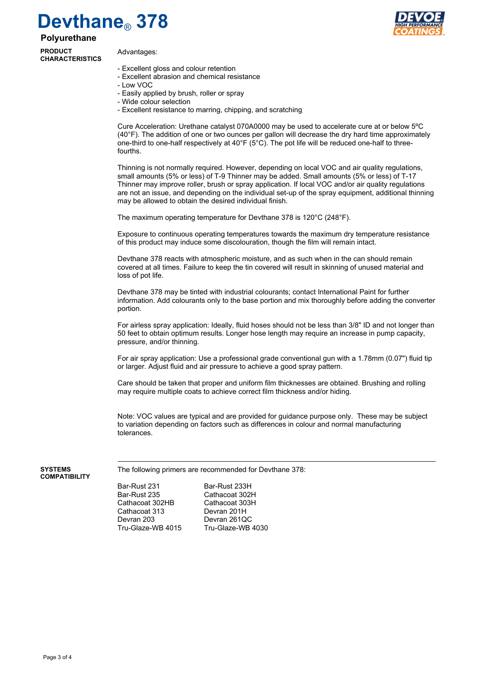# **Devthane**® **378**

### **Polyurethane**

**PRODUCT CHARACTERISTICS**

Advantages:



- Excellent gloss and colour retention
- Excellent abrasion and chemical resistance
- Low VOC
- Easily applied by brush, roller or spray
- Wide colour selection
- Excellent resistance to marring, chipping, and scratching

Cure Acceleration: Urethane catalyst 070A0000 may be used to accelerate cure at or below 5ºC (40°F). The addition of one or two ounces per gallon will decrease the dry hard time approximately one-third to one-half respectively at 40°F ( $5^{\circ}$ C). The pot life will be reduced one-half to threefourths.

Thinning is not normally required. However, depending on local VOC and air quality regulations, small amounts (5% or less) of T-9 Thinner may be added. Small amounts (5% or less) of T-17 Thinner may improve roller, brush or spray application. If local VOC and/or air quality regulations are not an issue, and depending on the individual set-up of the spray equipment, additional thinning may be allowed to obtain the desired individual finish.

The maximum operating temperature for Devthane 378 is 120°C (248°F).

Exposure to continuous operating temperatures towards the maximum dry temperature resistance of this product may induce some discolouration, though the film will remain intact.

Devthane 378 reacts with atmospheric moisture, and as such when in the can should remain covered at all times. Failure to keep the tin covered will result in skinning of unused material and loss of pot life.

Devthane 378 may be tinted with industrial colourants; contact International Paint for further information. Add colourants only to the base portion and mix thoroughly before adding the converter portion.

For airless spray application: Ideally, fluid hoses should not be less than 3/8" ID and not longer than 50 feet to obtain optimum results. Longer hose length may require an increase in pump capacity, pressure, and/or thinning.

For air spray application: Use a professional grade conventional gun with a 1.78mm (0.07") fluid tip or larger. Adjust fluid and air pressure to achieve a good spray pattern.

Care should be taken that proper and uniform film thicknesses are obtained. Brushing and rolling may require multiple coats to achieve correct film thickness and/or hiding.

Note: VOC values are typical and are provided for guidance purpose only. These may be subject to variation depending on factors such as differences in colour and normal manufacturing tolerances.

The following primers are recommended for Devthane 378:

**SYSTEMS COMPATIBILITY**

> Bar-Rust 235 Cathacoat 302H Cathacoat 302HB Cathacoat 303H Cathacoat 313 Devran 201H<br>Devran 203 Devran 261Q Tru-Glaze-WB 4015

Bar-Rust 231 Bar-Rust 233H Devran 261QC<br>Tru-Glaze-WB 4030